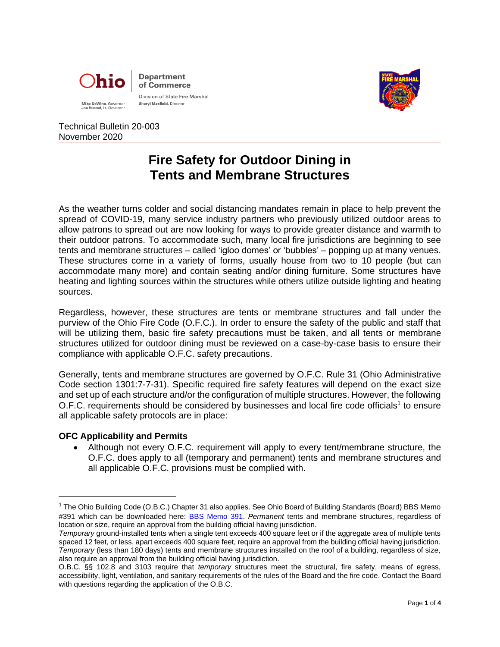



# Technical Bulletin 20-003 November 2020

# **Fire Safety for Outdoor Dining in Tents and Membrane Structures**

As the weather turns colder and social distancing mandates remain in place to help prevent the spread of COVID-19, many service industry partners who previously utilized outdoor areas to allow patrons to spread out are now looking for ways to provide greater distance and warmth to their outdoor patrons. To accommodate such, many local fire jurisdictions are beginning to see tents and membrane structures – called 'igloo domes' or 'bubbles' – popping up at many venues. These structures come in a variety of forms, usually house from two to 10 people (but can accommodate many more) and contain seating and/or dining furniture. Some structures have heating and lighting sources within the structures while others utilize outside lighting and heating sources.

Regardless, however, these structures are tents or membrane structures and fall under the purview of the Ohio Fire Code (O.F.C.). In order to ensure the safety of the public and staff that will be utilizing them, basic fire safety precautions must be taken, and all tents or membrane structures utilized for outdoor dining must be reviewed on a case-by-case basis to ensure their compliance with applicable O.F.C. safety precautions.

Generally, tents and membrane structures are governed by O.F.C. Rule 31 (Ohio Administrative Code section 1301:7-7-31). Specific required fire safety features will depend on the exact size and set up of each structure and/or the configuration of multiple structures. However, the following O.F.C. requirements should be considered by businesses and local fire code officials<sup>1</sup> to ensure all applicable safety protocols are in place:

# **OFC Applicability and Permits**

• Although not every O.F.C. requirement will apply to every tent/membrane structure, the O.F.C. does apply to all (temporary and permanent) tents and membrane structures and all applicable O.F.C. provisions must be complied with.

<sup>&</sup>lt;sup>1</sup> The Ohio Building Code (O.B.C.) Chapter 31 also applies. See Ohio Board of Building Standards (Board) BBS Memo #391 which can be downloaded here: [BBS Memo 391.](https://www.com.ohio.gov/documents/dico_391.pdf) *Permanent* tents and membrane structures, regardless of location or size, require an approval from the building official having jurisdiction.

*Temporary* ground-installed tents when a single tent exceeds 400 square feet or if the aggregate area of multiple tents spaced 12 feet, or less, apart exceeds 400 square feet, require an approval from the building official having jurisdiction. *Temporary* (less than 180 days) tents and membrane structures installed on the roof of a building, regardless of size, also require an approval from the building official having jurisdiction.

O.B.C. §§ 102.8 and 3103 require that *temporary* structures meet the structural, fire safety, means of egress, accessibility, light, ventilation, and sanitary requirements of the rules of the Board and the fire code. Contact the Board with questions regarding the application of the O.B.C.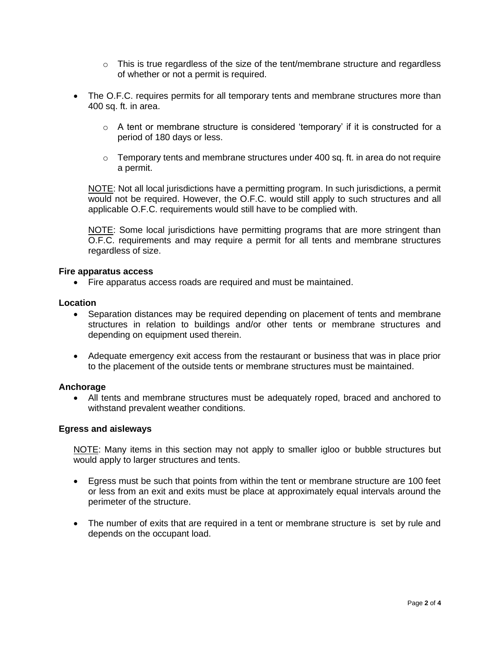- $\circ$  This is true regardless of the size of the tent/membrane structure and regardless of whether or not a permit is required.
- The O.F.C. requires permits for all temporary tents and membrane structures more than 400 sq. ft. in area.
	- $\circ$  A tent or membrane structure is considered 'temporary' if it is constructed for a period of 180 days or less.
	- $\circ$  Temporary tents and membrane structures under 400 sq. ft. in area do not require a permit.

NOTE: Not all local jurisdictions have a permitting program. In such jurisdictions, a permit would not be required. However, the O.F.C. would still apply to such structures and all applicable O.F.C. requirements would still have to be complied with.

NOTE: Some local jurisdictions have permitting programs that are more stringent than O.F.C. requirements and may require a permit for all tents and membrane structures regardless of size.

# **Fire apparatus access**

• Fire apparatus access roads are required and must be maintained.

#### **Location**

- Separation distances may be required depending on placement of tents and membrane structures in relation to buildings and/or other tents or membrane structures and depending on equipment used therein.
- Adequate emergency exit access from the restaurant or business that was in place prior to the placement of the outside tents or membrane structures must be maintained.

# **Anchorage**

• All tents and membrane structures must be adequately roped, braced and anchored to withstand prevalent weather conditions.

#### **Egress and aisleways**

NOTE: Many items in this section may not apply to smaller igloo or bubble structures but would apply to larger structures and tents.

- Egress must be such that points from within the tent or membrane structure are 100 feet or less from an exit and exits must be place at approximately equal intervals around the perimeter of the structure.
- The number of exits that are required in a tent or membrane structure is set by rule and depends on the occupant load.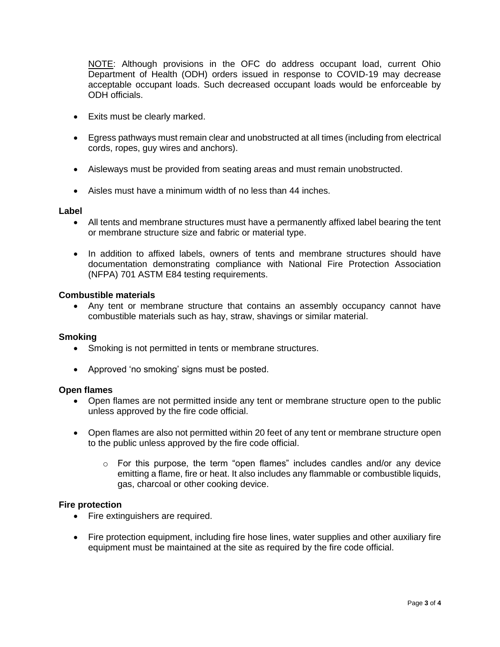NOTE: Although provisions in the OFC do address occupant load, current Ohio Department of Health (ODH) orders issued in response to COVID-19 may decrease acceptable occupant loads. Such decreased occupant loads would be enforceable by ODH officials.

- Exits must be clearly marked.
- Egress pathways must remain clear and unobstructed at all times (including from electrical cords, ropes, guy wires and anchors).
- Aisleways must be provided from seating areas and must remain unobstructed.
- Aisles must have a minimum width of no less than 44 inches.

# **Label**

- All tents and membrane structures must have a permanently affixed label bearing the tent or membrane structure size and fabric or material type.
- In addition to affixed labels, owners of tents and membrane structures should have documentation demonstrating compliance with National Fire Protection Association (NFPA) 701 ASTM E84 testing requirements.

#### **Combustible materials**

• Any tent or membrane structure that contains an assembly occupancy cannot have combustible materials such as hay, straw, shavings or similar material.

#### **Smoking**

- Smoking is not permitted in tents or membrane structures.
- Approved 'no smoking' signs must be posted.

#### **Open flames**

- Open flames are not permitted inside any tent or membrane structure open to the public unless approved by the fire code official.
- Open flames are also not permitted within 20 feet of any tent or membrane structure open to the public unless approved by the fire code official.
	- $\circ$  For this purpose, the term "open flames" includes candles and/or any device emitting a flame, fire or heat. It also includes any flammable or combustible liquids, gas, charcoal or other cooking device.

# **Fire protection**

- Fire extinguishers are required.
- Fire protection equipment, including fire hose lines, water supplies and other auxiliary fire equipment must be maintained at the site as required by the fire code official.